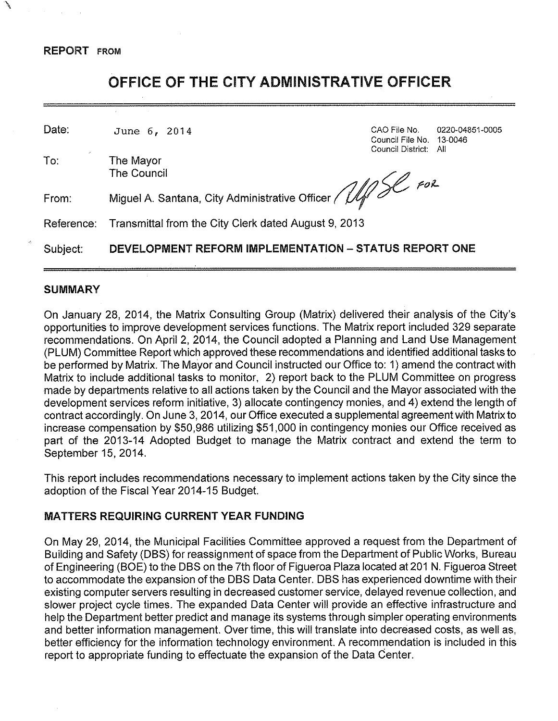\

# OFFICE OF THE CITY ADMINISTRATIVE OFFICER

| Date:      | June 6, 2014                                               | CAO File No.<br>Council File No. 13-0046<br>Council District: All | 0220-04851-0005 |
|------------|------------------------------------------------------------|-------------------------------------------------------------------|-----------------|
| To:        | The Mayor<br><b>The Council</b>                            |                                                                   |                 |
| From:      | Miguel A. Santana, City Administrative Officer / 14/50 For |                                                                   |                 |
| Reference: | Transmittal from the City Clerk dated August 9, 2013       |                                                                   |                 |
| Subject:   | DEVELOPMENT REFORM IMPLEMENTATION - STATUS REPORT ONE      |                                                                   |                 |

## **SUMMARY**

On January 28, 2014, the Matrix Consulting Group (Matrix) delivered their analysis of the City's opportunities to improve development services functions. The Matrix report included 329 separate recommendations. On April 2, 2014, the Council adopted a Planning and Land Use Management (PLUM) Committee Report which approved these recommendations and identified additional tasks to be performed by Matrix. The Mayor and Council instructed our Office to: 1) amend the contract with Matrix to include additional tasks to monitor, 2) report back to the PLUM Committee on progress made by departments relative to all actions taken by the Council and the Mayor associated with the development services reform initiative, 3) allocate contingency monies, and 4) extend the length of contract accordingly. On June 3, 2014, our Office executed a supplemental agreement with Matrix to increase compensation by \$50,986 utilizing \$51,000 in contingency monies our Office received as part of the 2013-14 Adopted Budget to manage the Matrix contract and extend the term to September 15, 2014.

This report includes recommendations necessary to implement actions taken by the City since the adoption of the Fiscal Year 2014-15 Budget.

## MATTERS REQUIRING CURRENT YEAR FUNDING

On May 29, 2014, the Municipal Facilities Committee approved a request from the Department of Building and Safety (DBS) for reassignment of space from the Department of Public Works, Bureau of Engineering (BOE) to the DBS on the 7th floor of Figueroa Plaza located at 201 N. Figueroa Street to accommodate the expansion of the DBS Data Center. DBS has experienced downtime with their existing computer servers resulting in decreased customer service, delayed revenue collection, and slower project cycle times. The expanded Data Center will provide an effective infrastructure and help the Department better predict and manage its systems through simpler operating environments and better information management. Over time, this will translate into decreased costs, as well as, better efficiency for the information technology environment. A recommendation is included in this report to appropriate funding to effectuate the expansion of the Data Center.